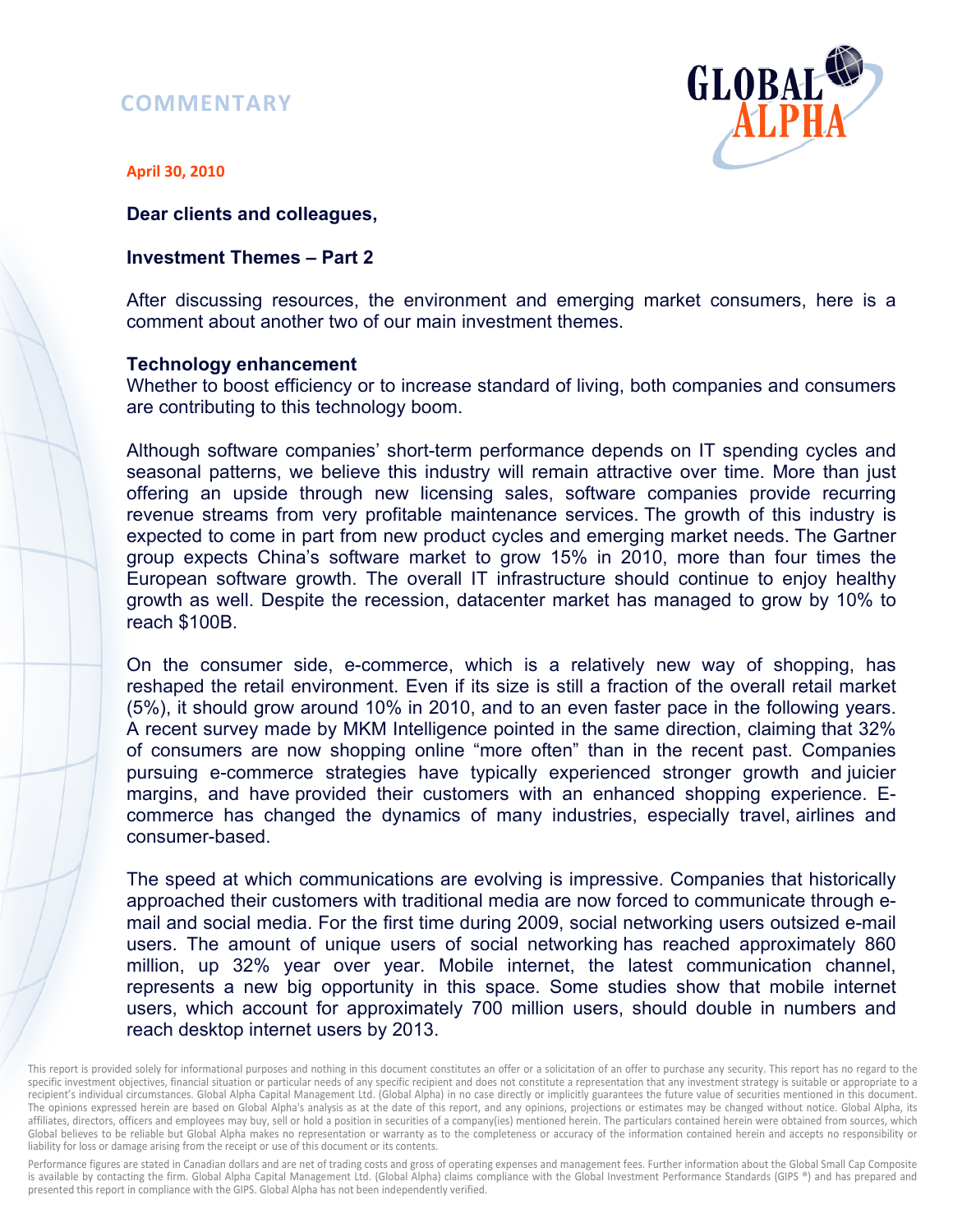# **COMMENTARY**



**April 30, 2010** 

#### **Dear clients and colleagues,**

### **Investment Themes – Part 2**

After discussing resources, the environment and emerging market consumers, here is a comment about another two of our main investment themes.

#### **Technology enhancement**

Whether to boost efficiency or to increase standard of living, both companies and consumers are contributing to this technology boom.

Although software companies' short-term performance depends on IT spending cycles and seasonal patterns, we believe this industry will remain attractive over time. More than just offering an upside through new licensing sales, software companies provide recurring revenue streams from very profitable maintenance services. The growth of this industry is expected to come in part from new product cycles and emerging market needs. The Gartner group expects China's software market to grow 15% in 2010, more than four times the European software growth. The overall IT infrastructure should continue to enjoy healthy growth as well. Despite the recession, datacenter market has managed to grow by 10% to reach \$100B.

On the consumer side, e-commerce, which is a relatively new way of shopping, has reshaped the retail environment. Even if its size is still a fraction of the overall retail market (5%), it should grow around 10% in 2010, and to an even faster pace in the following years. A recent survey made by MKM Intelligence pointed in the same direction, claiming that 32% of consumers are now shopping online "more often" than in the recent past. Companies pursuing e-commerce strategies have typically experienced stronger growth and juicier margins, and have provided their customers with an enhanced shopping experience. Ecommerce has changed the dynamics of many industries, especially travel, airlines and consumer-based.

The speed at which communications are evolving is impressive. Companies that historically approached their customers with traditional media are now forced to communicate through email and social media. For the first time during 2009, social networking users outsized e-mail users. The amount of unique users of social networking has reached approximately 860 million, up 32% year over year. Mobile internet, the latest communication channel, represents a new big opportunity in this space. Some studies show that mobile internet users, which account for approximately 700 million users, should double in numbers and reach desktop internet users by 2013.

Performance figures are stated in Canadian dollars and are net of trading costs and gross of operating expenses and management fees. Further information about the Global Small Cap Composite is available by contacting the firm. Global Alpha Capital Management Ltd. (Global Alpha) claims compliance with the Global Investment Performance Standards (GIPS ®) and has prepared and presented this report in compliance with the GIPS. Global Alpha has not been independently verified.

This report is provided solely for informational purposes and nothing in this document constitutes an offer or a solicitation of an offer to purchase any security. This report has no regard to the specific investment objectives, financial situation or particular needs of any specific recipient and does not constitute a representation that any investment strategy is suitable or appropriate to a recipient's individual circumstances. Global Alpha Capital Management Ltd. (Global Alpha) in no case directly or implicitly guarantees the future value of securities mentioned in this document. The opinions expressed herein are based on Global Alpha's analysis as at the date of this report, and any opinions, projections or estimates may be changed without notice. Global Alpha, its affiliates, directors, officers and employees may buy, sell or hold a position in securities of a company(ies) mentioned herein. The particulars contained herein were obtained from sources, which Global believes to be reliable but Global Alpha makes no representation or warranty as to the completeness or accuracy of the information contained herein and accepts no responsibility or liability for loss or damage arising from the receipt or use of this document or its contents.